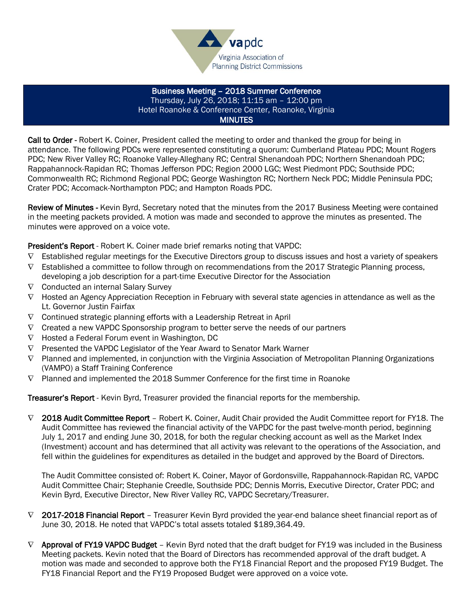

Business Meeting – 2018 Summer Conference Thursday, July 26, 2018; 11:15 am – 12:00 pm Hotel Roanoke & Conference Center, Roanoke, Virginia **MINUTES** 

Call to Order - Robert K. Coiner, President called the meeting to order and thanked the group for being in attendance. The following PDCs were represented constituting a quorum: Cumberland Plateau PDC; Mount Rogers PDC; New River Valley RC; Roanoke Valley-Alleghany RC; Central Shenandoah PDC; Northern Shenandoah PDC; Rappahannock-Rapidan RC; Thomas Jefferson PDC; Region 2000 LGC; West Piedmont PDC; Southside PDC; Commonwealth RC; Richmond Regional PDC; George Washington RC; Northern Neck PDC; Middle Peninsula PDC; Crater PDC; Accomack-Northampton PDC; and Hampton Roads PDC.

Review of Minutes - Kevin Byrd, Secretary noted that the minutes from the 2017 Business Meeting were contained in the meeting packets provided. A motion was made and seconded to approve the minutes as presented. The minutes were approved on a voice vote.

President's Report - Robert K. Coiner made brief remarks noting that VAPDC:

- $\nabla$  Established regular meetings for the Executive Directors group to discuss issues and host a variety of speakers
- $\nabla$  Established a committee to follow through on recommendations from the 2017 Strategic Planning process, developing a job description for a part-time Executive Director for the Association
- $\nabla$  Conducted an internal Salary Survey
- $\nabla$  Hosted an Agency Appreciation Reception in February with several state agencies in attendance as well as the Lt. Governor Justin Fairfax
- $\nabla$  Continued strategic planning efforts with a Leadership Retreat in April
- $\nabla$  Created a new VAPDC Sponsorship program to better serve the needs of our partners
- $\nabla$  Hosted a Federal Forum event in Washington, DC
- $\nabla$  Presented the VAPDC Legislator of the Year Award to Senator Mark Warner
- $\nabla$  Planned and implemented, in conjunction with the Virginia Association of Metropolitan Planning Organizations (VAMPO) a Staff Training Conference
- $\nabla$  Planned and implemented the 2018 Summer Conference for the first time in Roanoke

Treasurer's Report - Kevin Byrd, Treasurer provided the financial reports for the membership.

 $\nabla$  2018 Audit Committee Report – Robert K. Coiner, Audit Chair provided the Audit Committee report for FY18. The Audit Committee has reviewed the financial activity of the VAPDC for the past twelve-month period, beginning July 1, 2017 and ending June 30, 2018, for both the regular checking account as well as the Market Index (Investment) account and has determined that all activity was relevant to the operations of the Association, and fell within the guidelines for expenditures as detailed in the budget and approved by the Board of Directors.

The Audit Committee consisted of: Robert K. Coiner, Mayor of Gordonsville, Rappahannock-Rapidan RC, VAPDC Audit Committee Chair; Stephanie Creedle, Southside PDC; Dennis Morris, Executive Director, Crater PDC; and Kevin Byrd, Executive Director, New River Valley RC, VAPDC Secretary/Treasurer.

- $\nabla$  2017-2018 Financial Report Treasurer Kevin Byrd provided the year-end balance sheet financial report as of June 30, 2018. He noted that VAPDC's total assets totaled \$189,364.49.
- $\nabla$  Approval of FY19 VAPDC Budget Kevin Byrd noted that the draft budget for FY19 was included in the Business Meeting packets. Kevin noted that the Board of Directors has recommended approval of the draft budget. A motion was made and seconded to approve both the FY18 Financial Report and the proposed FY19 Budget. The FY18 Financial Report and the FY19 Proposed Budget were approved on a voice vote.